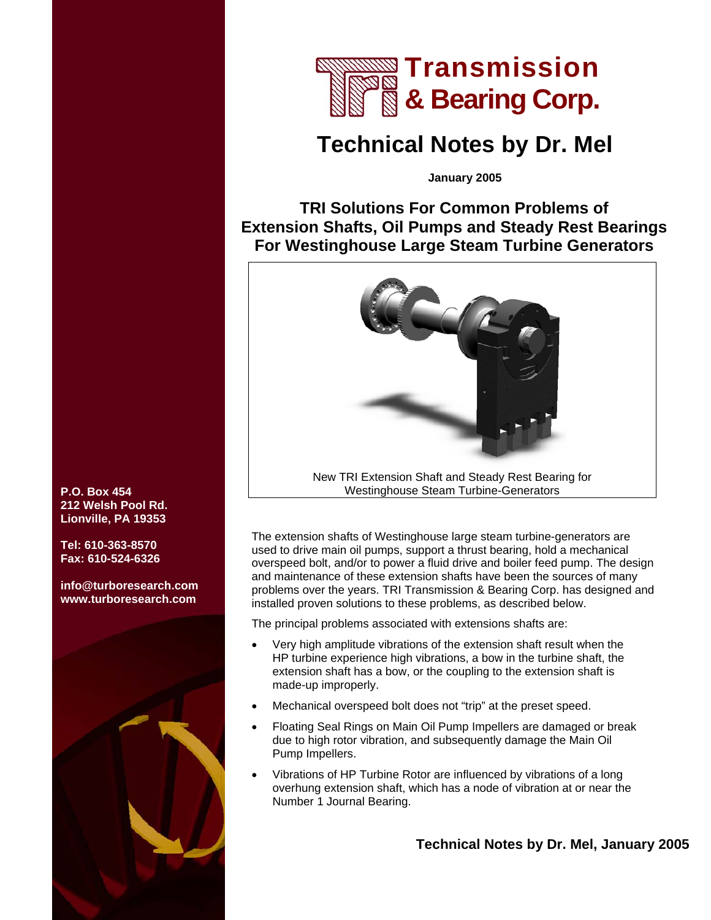

# **Technical Notes by Dr. Mel**

**January 2005** 

## **TRI Solutions For Common Problems of Extension Shafts, Oil Pumps and Steady Rest Bearings For Westinghouse Large Steam Turbine Generators**



The extension shafts of Westinghouse large steam turbine-generators are used to drive main oil pumps, support a thrust bearing, hold a mechanical overspeed bolt, and/or to power a fluid drive and boiler feed pump. The design and maintenance of these extension shafts have been the sources of many problems over the years. TRI Transmission & Bearing Corp. has designed and installed proven solutions to these problems, as described below.

The principal problems associated with extensions shafts are:

- Very high amplitude vibrations of the extension shaft result when the HP turbine experience high vibrations, a bow in the turbine shaft, the extension shaft has a bow, or the coupling to the extension shaft is made-up improperly.
- Mechanical overspeed bolt does not "trip" at the preset speed.
- Floating Seal Rings on Main Oil Pump Impellers are damaged or break due to high rotor vibration, and subsequently damage the Main Oil Pump Impellers.
- Vibrations of HP Turbine Rotor are influenced by vibrations of a long overhung extension shaft, which has a node of vibration at or near the Number 1 Journal Bearing.

#### **Technical Notes by Dr. Mel, January 2005**

**P.O. Box 454 212 Welsh Pool Rd. Lionville, PA 19353** 

**Tel: 610-363-8570 Fax: 610-524-6326** 

**info@turboresearch.com [www.turboresearch.com](http://www.turboresearch.com)**